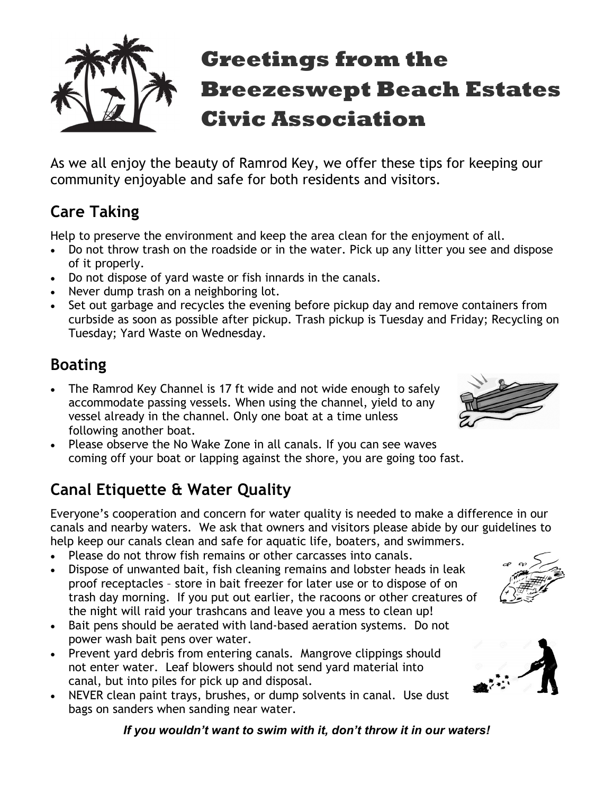

As we all enjoy the beauty of Ramrod Key, we offer these tips for keeping our community enjoyable and safe for both residents and visitors.

# Care Taking

Help to preserve the environment and keep the area clean for the enjoyment of all.

- Do not throw trash on the roadside or in the water. Pick up any litter you see and dispose of it properly.
- Do not dispose of yard waste or fish innards in the canals.
- Never dump trash on a neighboring lot.
- Set out garbage and recycles the evening before pickup day and remove containers from curbside as soon as possible after pickup. Trash pickup is Tuesday and Friday; Recycling on Tuesday; Yard Waste on Wednesday.

## Boating

- The Ramrod Key Channel is 17 ft wide and not wide enough to safely accommodate passing vessels. When using the channel, yield to any vessel already in the channel. Only one boat at a time unless following another boat.
- Please observe the No Wake Zone in all canals. If you can see waves coming off your boat or lapping against the shore, you are going too fast.

## Canal Etiquette & Water Quality

Everyone's cooperation and concern for water quality is needed to make a difference in our canals and nearby waters. We ask that owners and visitors please abide by our guidelines to help keep our canals clean and safe for aquatic life, boaters, and swimmers.

- Please do not throw fish remains or other carcasses into canals.
- Dispose of unwanted bait, fish cleaning remains and lobster heads in leak proof receptacles – store in bait freezer for later use or to dispose of on trash day morning. If you put out earlier, the racoons or other creatures of the night will raid your trashcans and leave you a mess to clean up!
- Bait pens should be aerated with land-based aeration systems. Do not power wash bait pens over water.
- Prevent yard debris from entering canals. Mangrove clippings should not enter water. Leaf blowers should not send yard material into canal, but into piles for pick up and disposal.
- NEVER clean paint trays, brushes, or dump solvents in canal. Use dust bags on sanders when sanding near water.







If you wouldn't want to swim with it, don't throw it in our waters!